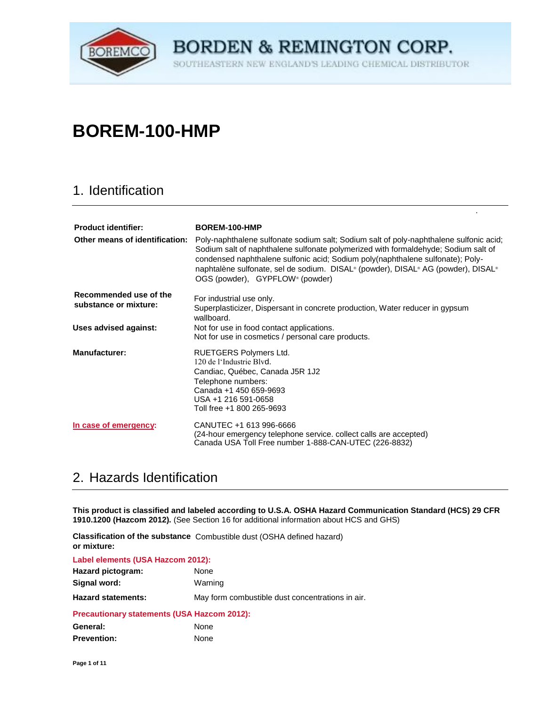

THEASTERN NEW ENGLAND'S LEADING CHEMICAL DISTRIBUTOR SOU

à.

# **BOREM-100-HMP**

### 1. Identification

| <b>Product identifier:</b><br>Other means of identification: | BOREM-100-HMP<br>Poly-naphthalene sulfonate sodium salt; Sodium salt of poly-naphthalene sulfonic acid;<br>Sodium salt of naphthalene sulfonate polymerized with formaldehyde; Sodium salt of<br>condensed naphthalene sulfonic acid; Sodium poly(naphthalene sulfonate); Poly-<br>naphtalène sulfonate, sel de sodium. DISAL <sup>®</sup> (powder), DISAL® AG (powder), DISAL®<br>OGS (powder), GYPFLOW® (powder) |
|--------------------------------------------------------------|--------------------------------------------------------------------------------------------------------------------------------------------------------------------------------------------------------------------------------------------------------------------------------------------------------------------------------------------------------------------------------------------------------------------|
| Recommended use of the<br>substance or mixture:              | For industrial use only.<br>Superplasticizer, Dispersant in concrete production, Water reducer in gypsum<br>wallboard.                                                                                                                                                                                                                                                                                             |
| Uses advised against:                                        | Not for use in food contact applications.<br>Not for use in cosmetics / personal care products.                                                                                                                                                                                                                                                                                                                    |
| <b>Manufacturer:</b>                                         | RUETGERS Polymers Ltd.<br>120 de l'Industrie Blyd.<br>Candiac, Québec, Canada J5R 1J2<br>Telephone numbers:<br>Canada +1 450 659-9693<br>USA +1 216 591-0658<br>Toll free +1 800 265-9693                                                                                                                                                                                                                          |
| In case of emergency:                                        | CANUTEC +1 613 996-6666<br>(24-hour emergency telephone service. collect calls are accepted)<br>Canada USA Toll Free number 1-888-CAN-UTEC (226-8832)                                                                                                                                                                                                                                                              |

## 2. Hazards Identification

**This product is classified and labeled according to U.S.A. OSHA Hazard Communication Standard (HCS) 29 CFR 1910.1200 (Hazcom 2012).** (See Section 16 for additional information about HCS and GHS)

Classification of the substance Combustible dust (OSHA defined hazard) **or mixture:** 

| Label elements (USA Hazcom 2012):                  |                                                  |
|----------------------------------------------------|--------------------------------------------------|
| Hazard pictogram:                                  | None                                             |
| Signal word:                                       | Warning                                          |
| <b>Hazard statements:</b>                          | May form combustible dust concentrations in air. |
| <b>Precautionary statements (USA Hazcom 2012):</b> |                                                  |
|                                                    |                                                  |

| General:           | None |
|--------------------|------|
| <b>Prevention:</b> | None |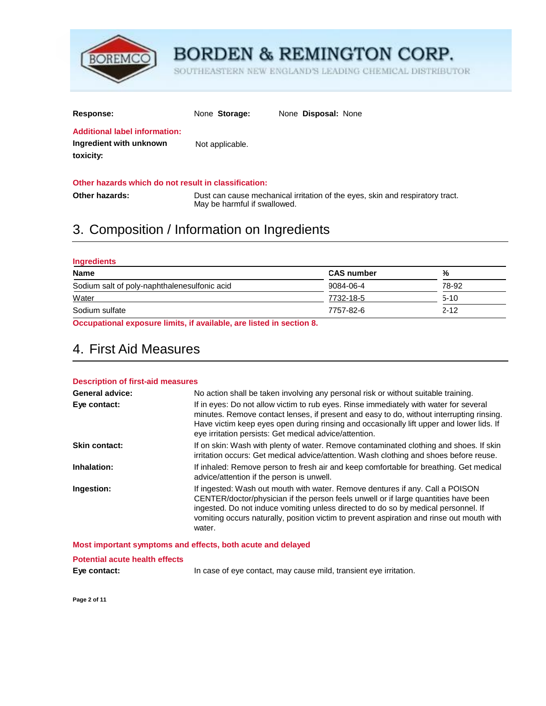

SOUTHEASTERN NEW ENGLAND'S LEADING CHEMICAL DISTRIBUTOR

| <b>Response:</b>                                                             | None Storage:   | None <b>Disposal:</b> None |
|------------------------------------------------------------------------------|-----------------|----------------------------|
| <b>Additional label information:</b><br>Ingredient with unknown<br>toxicity: | Not applicable. |                            |

#### **Other hazards which do not result in classification:**

| Other hazards: | Dust can cause mechanical irritation of the eyes, skin and respiratory tract. |
|----------------|-------------------------------------------------------------------------------|
|                | May be harmful if swallowed.                                                  |

### 3. Composition / Information on Ingredients

| <b>Ingredients</b>                                                                                                                                                                                                                                                                                                                                                                                                                                           |                   |          |
|--------------------------------------------------------------------------------------------------------------------------------------------------------------------------------------------------------------------------------------------------------------------------------------------------------------------------------------------------------------------------------------------------------------------------------------------------------------|-------------------|----------|
| <b>Name</b>                                                                                                                                                                                                                                                                                                                                                                                                                                                  | <b>CAS number</b> | ℅        |
| Sodium salt of poly-naphthalenesulfonic acid                                                                                                                                                                                                                                                                                                                                                                                                                 | 9084-06-4         | 78-92    |
| Water                                                                                                                                                                                                                                                                                                                                                                                                                                                        | 7732-18-5         | $5-10$   |
| Sodium sulfate                                                                                                                                                                                                                                                                                                                                                                                                                                               | 7757-82-6         | $2 - 12$ |
| $\mathbf{a} \cdot \mathbf{a} \cdot \mathbf{a} = \mathbf{a} \cdot \mathbf{a} + \mathbf{a} \cdot \mathbf{a} + \mathbf{a} \cdot \mathbf{a} + \mathbf{a} \cdot \mathbf{a} + \mathbf{a} \cdot \mathbf{a} + \mathbf{a} \cdot \mathbf{a} + \mathbf{a} \cdot \mathbf{a} + \mathbf{a} \cdot \mathbf{a} + \mathbf{a} \cdot \mathbf{a} + \mathbf{a} \cdot \mathbf{a} + \mathbf{a} \cdot \mathbf{a} + \mathbf{a} \cdot \mathbf{a} + \mathbf{a} \cdot \mathbf{a} + \math$ |                   |          |

**Occupational exposure limits, if available, are listed in section 8.** 

## 4. First Aid Measures

#### **Description of first-aid measures**

| <b>General advice:</b> | No action shall be taken involving any personal risk or without suitable training.                                                                                                                                                                                                                                                                                |
|------------------------|-------------------------------------------------------------------------------------------------------------------------------------------------------------------------------------------------------------------------------------------------------------------------------------------------------------------------------------------------------------------|
| Eye contact:           | If in eyes: Do not allow victim to rub eyes. Rinse immediately with water for several<br>minutes. Remove contact lenses, if present and easy to do, without interrupting rinsing.<br>Have victim keep eyes open during rinsing and occasionally lift upper and lower lids. If<br>eye irritation persists: Get medical advice/attention.                           |
| Skin contact:          | If on skin: Wash with plenty of water. Remove contaminated clothing and shoes. If skin<br>irritation occurs: Get medical advice/attention. Wash clothing and shoes before reuse.                                                                                                                                                                                  |
| Inhalation:            | If inhaled: Remove person to fresh air and keep comfortable for breathing. Get medical<br>advice/attention if the person is unwell.                                                                                                                                                                                                                               |
| Ingestion:             | If ingested: Wash out mouth with water. Remove dentures if any. Call a POISON<br>CENTER/doctor/physician if the person feels unwell or if large quantities have been<br>ingested. Do not induce vomiting unless directed to do so by medical personnel. If<br>vomiting occurs naturally, position victim to prevent aspiration and rinse out mouth with<br>water. |
|                        | Most important symptoms and effects, both acute and delayed                                                                                                                                                                                                                                                                                                       |

**Potential acute health effects**

**Eye contact: In case of eye contact, may cause mild, transient eye irritation.** 

**Page 2 of 11**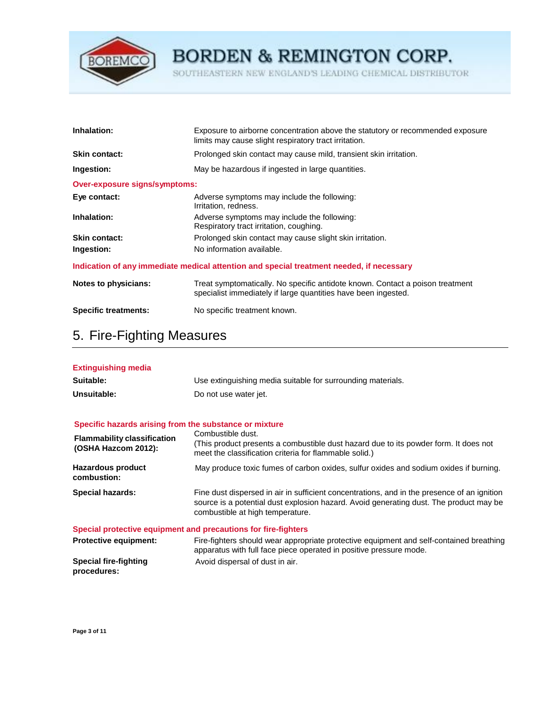

SOUTHEASTERN NEW ENGLAND'S LEADING CHEMICAL DISTRIBUTOR

| Inhalation:                          | Exposure to airborne concentration above the statutory or recommended exposure<br>limits may cause slight respiratory tract irritation.         |
|--------------------------------------|-------------------------------------------------------------------------------------------------------------------------------------------------|
| <b>Skin contact:</b>                 | Prolonged skin contact may cause mild, transient skin irritation.                                                                               |
| Ingestion:                           | May be hazardous if ingested in large quantities.                                                                                               |
| <b>Over-exposure signs/symptoms:</b> |                                                                                                                                                 |
| Eye contact:                         | Adverse symptoms may include the following:<br>Irritation, redness.                                                                             |
| Inhalation:                          | Adverse symptoms may include the following:<br>Respiratory tract irritation, coughing.                                                          |
| <b>Skin contact:</b>                 | Prolonged skin contact may cause slight skin irritation.                                                                                        |
| Ingestion:                           | No information available.                                                                                                                       |
|                                      | Indication of any immediate medical attention and special treatment needed, if necessary                                                        |
| Notes to physicians:                 | Treat symptomatically. No specific antidote known. Contact a poison treatment<br>specialist immediately if large quantities have been ingested. |

### **Specific treatments:** No specific treatment known.

## 5. Fire-Fighting Measures

| <b>Extinguishing media</b> |                                                             |
|----------------------------|-------------------------------------------------------------|
| Suitable:                  | Use extinguishing media suitable for surrounding materials. |
| Unsuitable:                | Do not use water jet.                                       |

#### **Specific hazards arising from the substance or mixture**

| <b>Flammability classification</b><br>(OSHA Hazcom 2012): | Combustible dust.<br>(This product presents a combustible dust hazard due to its powder form. It does not<br>meet the classification criteria for flammable solid.)                                                       |
|-----------------------------------------------------------|---------------------------------------------------------------------------------------------------------------------------------------------------------------------------------------------------------------------------|
| <b>Hazardous product</b><br>combustion:                   | May produce toxic fumes of carbon oxides, sulfur oxides and sodium oxides if burning.                                                                                                                                     |
| <b>Special hazards:</b>                                   | Fine dust dispersed in air in sufficient concentrations, and in the presence of an ignition<br>source is a potential dust explosion hazard. Avoid generating dust. The product may be<br>combustible at high temperature. |
|                                                           | Special protective equipment and precautions for fire-fighters                                                                                                                                                            |

| <b>Protective equipment:</b> | Fire-fighters should wear appropriate protective equipment and self-contained breathing |
|------------------------------|-----------------------------------------------------------------------------------------|
|                              | apparatus with full face piece operated in positive pressure mode.                      |
| Special fire-fighting        | Avoid dispersal of dust in air.                                                         |
| procedures:                  |                                                                                         |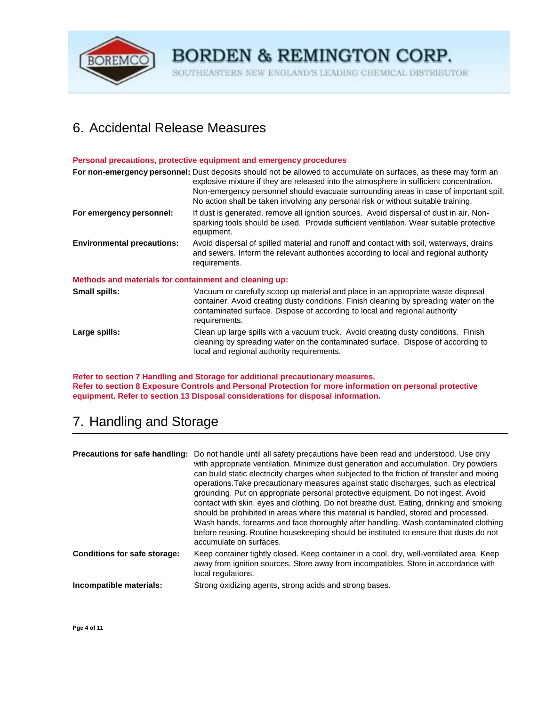

SOUTHEASTERN NEW ENGLAND'S LEADING CHEMICAL DISTRIBUTOR

## 6. Accidental Release Measures

#### **Personal precautions, protective equipment and emergency procedures**

|                                                        | For non-emergency personnel: Dust deposits should not be allowed to accumulate on surfaces, as these may form an<br>explosive mixture if they are released into the atmosphere in sufficient concentration.<br>Non-emergency personnel should evacuate surrounding areas in case of important spill.<br>No action shall be taken involving any personal risk or without suitable training. |
|--------------------------------------------------------|--------------------------------------------------------------------------------------------------------------------------------------------------------------------------------------------------------------------------------------------------------------------------------------------------------------------------------------------------------------------------------------------|
| For emergency personnel:                               | If dust is generated, remove all ignition sources. Avoid dispersal of dust in air. Non-<br>sparking tools should be used. Provide sufficient ventilation. Wear suitable protective<br>equipment.                                                                                                                                                                                           |
| <b>Environmental precautions:</b>                      | Avoid dispersal of spilled material and runoff and contact with soil, waterways, drains<br>and sewers. Inform the relevant authorities according to local and regional authority<br>requirements.                                                                                                                                                                                          |
| Methods and materials for containment and cleaning up: |                                                                                                                                                                                                                                                                                                                                                                                            |
| <b>Small spills:</b>                                   | Vacuum or carefully scoop up material and place in an appropriate waste disposal<br>container. Avoid creating dusty conditions. Finish cleaning by spreading water on the<br>contaminated surface. Dispose of according to local and regional authority<br>requirements.                                                                                                                   |
| Large spills:                                          | Clean up large spills with a vacuum truck. Avoid creating dusty conditions. Finish<br>cleaning by spreading water on the contaminated surface. Dispose of according to<br>local and regional authority requirements.                                                                                                                                                                       |

**Refer to section 7 Handling and Storage for additional precautionary measures. Refer to section 8 Exposure Controls and Personal Protection for more information on personal protective equipment. Refer to section 13 Disposal considerations for disposal information.** 

## 7. Handling and Storage

| Precautions for safe handling:      | Do not handle until all safety precautions have been read and understood. Use only<br>with appropriate ventilation. Minimize dust generation and accumulation. Dry powders<br>can build static electricity charges when subjected to the friction of transfer and mixing<br>operations. Take precautionary measures against static discharges, such as electrical<br>grounding. Put on appropriate personal protective equipment. Do not ingest. Avoid<br>contact with skin, eyes and clothing. Do not breathe dust. Eating, drinking and smoking<br>should be prohibited in areas where this material is handled, stored and processed.<br>Wash hands, forearms and face thoroughly after handling. Wash contaminated clothing<br>before reusing. Routine housekeeping should be instituted to ensure that dusts do not<br>accumulate on surfaces. |
|-------------------------------------|-----------------------------------------------------------------------------------------------------------------------------------------------------------------------------------------------------------------------------------------------------------------------------------------------------------------------------------------------------------------------------------------------------------------------------------------------------------------------------------------------------------------------------------------------------------------------------------------------------------------------------------------------------------------------------------------------------------------------------------------------------------------------------------------------------------------------------------------------------|
| <b>Conditions for safe storage:</b> | Keep container tightly closed. Keep container in a cool, dry, well-ventilated area. Keep<br>away from ignition sources. Store away from incompatibles. Store in accordance with<br>local regulations.                                                                                                                                                                                                                                                                                                                                                                                                                                                                                                                                                                                                                                               |
| Incompatible materials:             | Strong oxidizing agents, strong acids and strong bases.                                                                                                                                                                                                                                                                                                                                                                                                                                                                                                                                                                                                                                                                                                                                                                                             |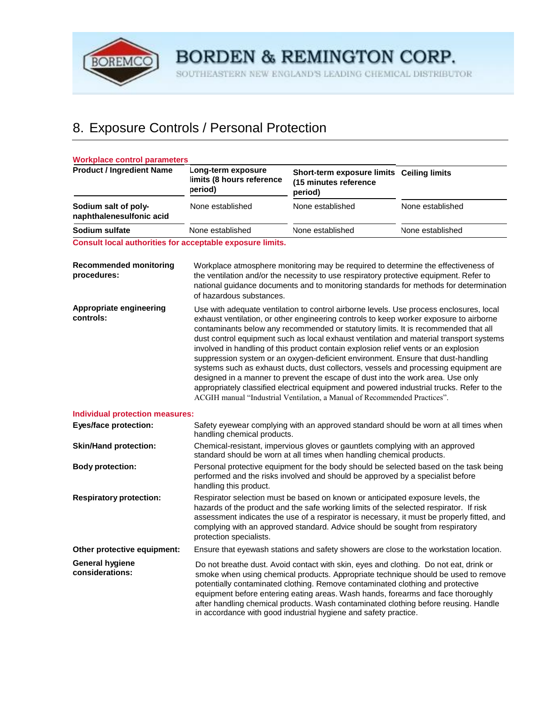

SOUTHEASTERN NEW ENGLAND'S LEADING CHEMICAL DISTRIBUTOR

# 8. Exposure Controls / Personal Protection

| <b>Workplace control parameters</b>                       |                                                                                                                                                                                                   |                                                                                                                                                                                                                                                                                                                                                                                                                                                                                                                                                                                                                                                                                                                                                                                                                                                                                                    |                                                                                       |
|-----------------------------------------------------------|---------------------------------------------------------------------------------------------------------------------------------------------------------------------------------------------------|----------------------------------------------------------------------------------------------------------------------------------------------------------------------------------------------------------------------------------------------------------------------------------------------------------------------------------------------------------------------------------------------------------------------------------------------------------------------------------------------------------------------------------------------------------------------------------------------------------------------------------------------------------------------------------------------------------------------------------------------------------------------------------------------------------------------------------------------------------------------------------------------------|---------------------------------------------------------------------------------------|
| <b>Product / Ingredient Name</b>                          | Long-term exposure<br>limits (8 hours reference<br>period)                                                                                                                                        | Short-term exposure limits Ceiling limits<br>(15 minutes reference<br>period)                                                                                                                                                                                                                                                                                                                                                                                                                                                                                                                                                                                                                                                                                                                                                                                                                      |                                                                                       |
| Sodium salt of poly-<br>naphthalenesulfonic acid          | None established                                                                                                                                                                                  | None established                                                                                                                                                                                                                                                                                                                                                                                                                                                                                                                                                                                                                                                                                                                                                                                                                                                                                   | None established                                                                      |
| Sodium sulfate                                            | None established                                                                                                                                                                                  | None established                                                                                                                                                                                                                                                                                                                                                                                                                                                                                                                                                                                                                                                                                                                                                                                                                                                                                   | None established                                                                      |
| Consult local authorities for acceptable exposure limits. |                                                                                                                                                                                                   |                                                                                                                                                                                                                                                                                                                                                                                                                                                                                                                                                                                                                                                                                                                                                                                                                                                                                                    |                                                                                       |
| <b>Recommended monitoring</b><br>procedures:              | of hazardous substances.                                                                                                                                                                          | Workplace atmosphere monitoring may be required to determine the effectiveness of<br>the ventilation and/or the necessity to use respiratory protective equipment. Refer to                                                                                                                                                                                                                                                                                                                                                                                                                                                                                                                                                                                                                                                                                                                        | national guidance documents and to monitoring standards for methods for determination |
| Appropriate engineering<br>controls:                      |                                                                                                                                                                                                   | Use with adequate ventilation to control airborne levels. Use process enclosures, local<br>exhaust ventilation, or other engineering controls to keep worker exposure to airborne<br>contaminants below any recommended or statutory limits. It is recommended that all<br>dust control equipment such as local exhaust ventilation and material transport systems<br>involved in handling of this product contain explosion relief vents or an explosion<br>suppression system or an oxygen-deficient environment. Ensure that dust-handling<br>systems such as exhaust ducts, dust collectors, vessels and processing equipment are<br>designed in a manner to prevent the escape of dust into the work area. Use only<br>appropriately classified electrical equipment and powered industrial trucks. Refer to the<br>ACGIH manual "Industrial Ventilation, a Manual of Recommended Practices". |                                                                                       |
| <b>Individual protection measures:</b>                    |                                                                                                                                                                                                   |                                                                                                                                                                                                                                                                                                                                                                                                                                                                                                                                                                                                                                                                                                                                                                                                                                                                                                    |                                                                                       |
| <b>Eyes/face protection:</b>                              | handling chemical products.                                                                                                                                                                       | Safety eyewear complying with an approved standard should be worn at all times when                                                                                                                                                                                                                                                                                                                                                                                                                                                                                                                                                                                                                                                                                                                                                                                                                |                                                                                       |
| <b>Skin/Hand protection:</b>                              | Chemical-resistant, impervious gloves or gauntlets complying with an approved<br>standard should be worn at all times when handling chemical products.                                            |                                                                                                                                                                                                                                                                                                                                                                                                                                                                                                                                                                                                                                                                                                                                                                                                                                                                                                    |                                                                                       |
| <b>Body protection:</b>                                   | Personal protective equipment for the body should be selected based on the task being<br>performed and the risks involved and should be approved by a specialist before<br>handling this product. |                                                                                                                                                                                                                                                                                                                                                                                                                                                                                                                                                                                                                                                                                                                                                                                                                                                                                                    |                                                                                       |
| <b>Respiratory protection:</b>                            | protection specialists.                                                                                                                                                                           | Respirator selection must be based on known or anticipated exposure levels, the<br>hazards of the product and the safe working limits of the selected respirator. If risk<br>assessment indicates the use of a respirator is necessary, it must be properly fitted, and<br>complying with an approved standard. Advice should be sought from respiratory                                                                                                                                                                                                                                                                                                                                                                                                                                                                                                                                           |                                                                                       |
| Other protective equipment:                               |                                                                                                                                                                                                   | Ensure that eyewash stations and safety showers are close to the workstation location.                                                                                                                                                                                                                                                                                                                                                                                                                                                                                                                                                                                                                                                                                                                                                                                                             |                                                                                       |
| <b>General hygiene</b><br>considerations:                 |                                                                                                                                                                                                   | Do not breathe dust. Avoid contact with skin, eyes and clothing. Do not eat, drink or<br>smoke when using chemical products. Appropriate technique should be used to remove<br>potentially contaminated clothing. Remove contaminated clothing and protective<br>equipment before entering eating areas. Wash hands, forearms and face thoroughly<br>after handling chemical products. Wash contaminated clothing before reusing. Handle<br>in accordance with good industrial hygiene and safety practice.                                                                                                                                                                                                                                                                                                                                                                                        |                                                                                       |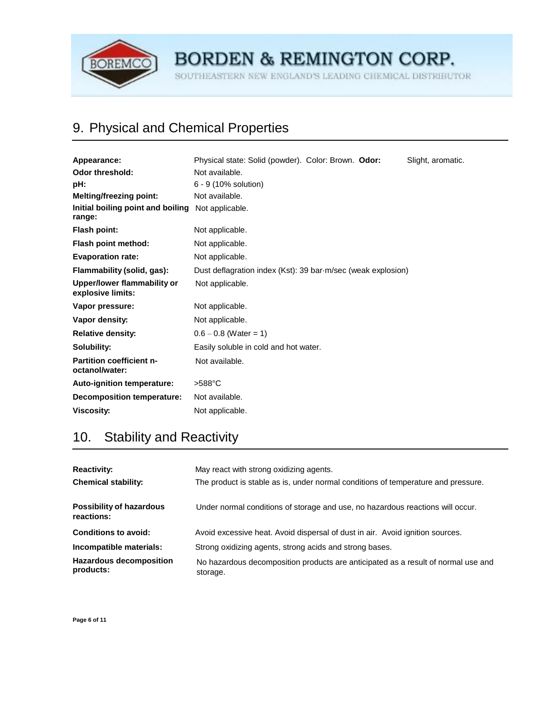

SOUTHEASTERN NEW ENGLAND'S LEADING CHEMICAL DISTRIBUTOR

# 9. Physical and Chemical Properties

| Appearance:                                                 | Physical state: Solid (powder). Color: Brown. Odor:<br>Slight, aromatic. |  |  |  |  |
|-------------------------------------------------------------|--------------------------------------------------------------------------|--|--|--|--|
| <b>Odor threshold:</b>                                      | Not available.                                                           |  |  |  |  |
| pH:                                                         | 6 - 9 (10% solution)                                                     |  |  |  |  |
| <b>Melting/freezing point:</b>                              | Not available.                                                           |  |  |  |  |
| Initial boiling point and boiling Not applicable.<br>range: |                                                                          |  |  |  |  |
| Flash point:                                                | Not applicable.                                                          |  |  |  |  |
| Flash point method:                                         | Not applicable.                                                          |  |  |  |  |
| <b>Evaporation rate:</b>                                    | Not applicable.                                                          |  |  |  |  |
| Flammability (solid, gas):                                  | Dust deflagration index (Kst): 39 bar-m/sec (weak explosion)             |  |  |  |  |
| Upper/lower flammability or<br>explosive limits:            | Not applicable.                                                          |  |  |  |  |
| Vapor pressure:                                             | Not applicable.                                                          |  |  |  |  |
| Vapor density:                                              | Not applicable.                                                          |  |  |  |  |
| <b>Relative density:</b>                                    | $0.6 - 0.8$ (Water = 1)                                                  |  |  |  |  |
| Solubility:                                                 | Easily soluble in cold and hot water.                                    |  |  |  |  |
| <b>Partition coefficient n-</b><br>octanol/water:           | Not available.                                                           |  |  |  |  |
| <b>Auto-ignition temperature:</b>                           | $>588^{\circ}$ C                                                         |  |  |  |  |
| Decomposition temperature:                                  | Not available.                                                           |  |  |  |  |
| <b>Viscosity:</b>                                           | Not applicable.                                                          |  |  |  |  |

# 10. Stability and Reactivity

| <b>Reactivity:</b><br><b>Chemical stability:</b> | May react with strong oxidizing agents.<br>The product is stable as is, under normal conditions of temperature and pressure. |
|--------------------------------------------------|------------------------------------------------------------------------------------------------------------------------------|
| <b>Possibility of hazardous</b><br>reactions:    | Under normal conditions of storage and use, no hazardous reactions will occur.                                               |
| <b>Conditions to avoid:</b>                      | Avoid excessive heat. Avoid dispersal of dust in air. Avoid ignition sources.                                                |
| Incompatible materials:                          | Strong oxidizing agents, strong acids and strong bases.                                                                      |
| <b>Hazardous decomposition</b><br>products:      | No hazardous decomposition products are anticipated as a result of normal use and<br>storage.                                |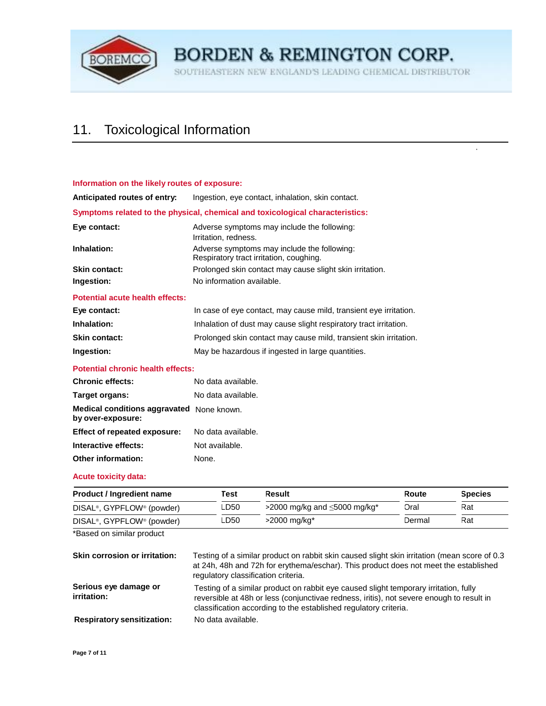

SOUTHEASTERN NEW ENGLAND'S LEADING CHEMICAL DISTRIBUTOR

 $\mathbb{R}^2$ 

# 11. Toxicological Information

| Information on the likely routes of exposure: |                                                                                        |
|-----------------------------------------------|----------------------------------------------------------------------------------------|
| Anticipated routes of entry:                  | Ingestion, eye contact, inhalation, skin contact.                                      |
|                                               | Symptoms related to the physical, chemical and toxicological characteristics:          |
| Eye contact:                                  | Adverse symptoms may include the following:<br>Irritation, redness.                    |
| Inhalation:                                   | Adverse symptoms may include the following:<br>Respiratory tract irritation, coughing. |
| Skin contact:                                 | Prolonged skin contact may cause slight skin irritation.                               |
| Ingestion:                                    | No information available.                                                              |

#### **Potential acute health effects:**

| Eye contact:         | In case of eye contact, may cause mild, transient eye irritation. |
|----------------------|-------------------------------------------------------------------|
| Inhalation:          | Inhalation of dust may cause slight respiratory tract irritation. |
| <b>Skin contact:</b> | Prolonged skin contact may cause mild, transient skin irritation. |
| Ingestion:           | May be hazardous if ingested in large quantities.                 |

#### **Potential chronic health effects:**

| <b>Chronic effects:</b>                                        | No data available. |
|----------------------------------------------------------------|--------------------|
| Target organs:                                                 | No data available. |
| Medical conditions aggravated None known.<br>by over-exposure: |                    |
| Effect of repeated exposure:                                   | No data available. |
| Interactive effects:                                           | Not available.     |
| <b>Other information:</b>                                      | None.              |

#### **Acute toxicity data:**

| <b>Product / Ingredient name</b>                   | Test | Result                                         | Route  | <b>Species</b> |
|----------------------------------------------------|------|------------------------------------------------|--------|----------------|
| DISAL <sup>®</sup> , GYPFLOW <sup>®</sup> (powder) | ∟D50 | >2000 mg/kg and $\leq$ 5000 mg/kg <sup>*</sup> | Oral   | Rat            |
| DISAL <sup>®</sup> , GYPFLOW <sup>®</sup> (powder) | ∟D50 | $>2000 \; mg/kg$ *                             | Dermal | Rat            |

\*Based on similar product

| <b>Skin corrosion or irritation:</b> | Testing of a similar product on rabbit skin caused slight skin irritation (mean score of 0.3<br>at 24h, 48h and 72h for erythema/eschar). This product does not meet the established<br>regulatory classification criteria.                          |
|--------------------------------------|------------------------------------------------------------------------------------------------------------------------------------------------------------------------------------------------------------------------------------------------------|
| Serious eye damage or<br>irritation: | Testing of a similar product on rabbit eye caused slight temporary irritation, fully<br>reversible at 48h or less (conjunctivae redness, iritis), not severe enough to result in<br>classification according to the established regulatory criteria. |
| <b>Respiratory sensitization:</b>    | No data available.                                                                                                                                                                                                                                   |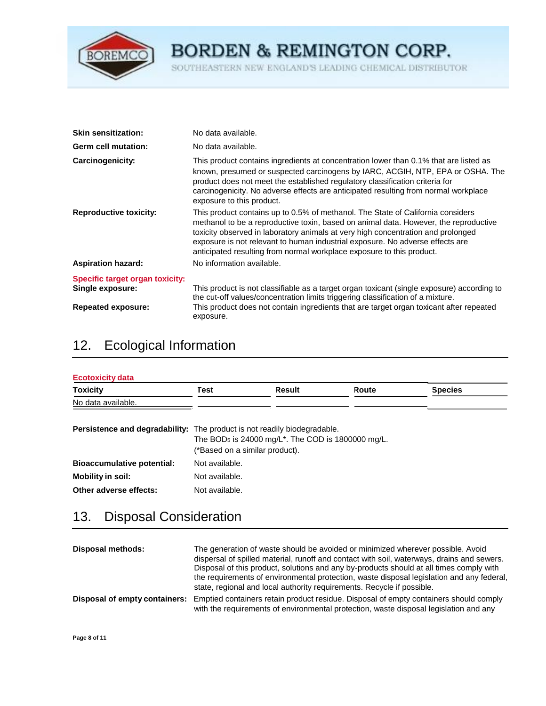

SOUTHEASTERN NEW ENGLAND'S LEADING CHEMICAL DISTRIBUTOR

| <b>Skin sensitization:</b>      | No data available.                                                                                                                                                                                                                                                                                                                                                                                                    |
|---------------------------------|-----------------------------------------------------------------------------------------------------------------------------------------------------------------------------------------------------------------------------------------------------------------------------------------------------------------------------------------------------------------------------------------------------------------------|
| <b>Germ cell mutation:</b>      | No data available.                                                                                                                                                                                                                                                                                                                                                                                                    |
| Carcinogenicity:                | This product contains ingredients at concentration lower than 0.1% that are listed as<br>known, presumed or suspected carcinogens by IARC, ACGIH, NTP, EPA or OSHA. The<br>product does not meet the established regulatory classification criteria for<br>carcinogenicity. No adverse effects are anticipated resulting from normal workplace<br>exposure to this product.                                           |
| <b>Reproductive toxicity:</b>   | This product contains up to 0.5% of methanol. The State of California considers<br>methanol to be a reproductive toxin, based on animal data. However, the reproductive<br>toxicity observed in laboratory animals at very high concentration and prolonged<br>exposure is not relevant to human industrial exposure. No adverse effects are<br>anticipated resulting from normal workplace exposure to this product. |
| <b>Aspiration hazard:</b>       | No information available.                                                                                                                                                                                                                                                                                                                                                                                             |
| Specific target organ toxicity: |                                                                                                                                                                                                                                                                                                                                                                                                                       |
| Single exposure:                | This product is not classifiable as a target organ toxicant (single exposure) according to<br>the cut-off values/concentration limits triggering classification of a mixture.                                                                                                                                                                                                                                         |
| <b>Repeated exposure:</b>       | This product does not contain ingredients that are target organ toxicant after repeated<br>exposure.                                                                                                                                                                                                                                                                                                                  |

# 12. Ecological Information

| <b>Toxicity</b>                                                                 | Test                           | Result                                                                     | Route | <b>Species</b> |
|---------------------------------------------------------------------------------|--------------------------------|----------------------------------------------------------------------------|-------|----------------|
| No data available.                                                              |                                |                                                                            |       |                |
| <b>Persistence and degradability:</b> The product is not readily biodegradable. | (*Based on a similar product). | The BOD <sub>5</sub> is 24000 mg/L <sup>*</sup> . The COD is 1800000 mg/L. |       |                |
| <b>Bioaccumulative potential:</b>                                               | Not available.                 |                                                                            |       |                |
|                                                                                 |                                |                                                                            |       |                |
| <b>Mobility in soil:</b>                                                        | Not available.                 |                                                                            |       |                |

### 13. Disposal Consideration

| Disposal methods:             | The generation of waste should be avoided or minimized wherever possible. Avoid<br>dispersal of spilled material, runoff and contact with soil, waterways, drains and sewers.<br>Disposal of this product, solutions and any by-products should at all times comply with<br>the requirements of environmental protection, waste disposal legislation and any federal,<br>state, regional and local authority requirements. Recycle if possible. |
|-------------------------------|-------------------------------------------------------------------------------------------------------------------------------------------------------------------------------------------------------------------------------------------------------------------------------------------------------------------------------------------------------------------------------------------------------------------------------------------------|
| Disposal of empty containers: | Emptied containers retain product residue. Disposal of empty containers should comply<br>with the requirements of environmental protection, waste disposal legislation and any                                                                                                                                                                                                                                                                  |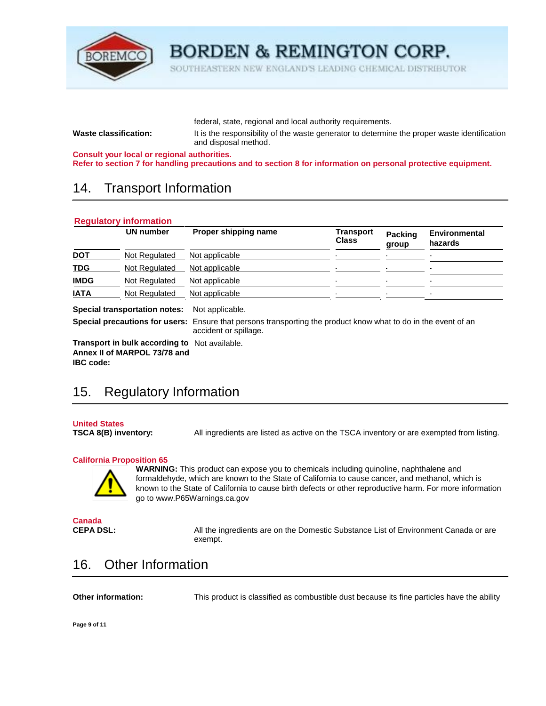

SOUTHEASTERN NEW ENGLAND'S LEADING CHEMICAL DISTRIBUTOR

federal, state, regional and local authority requirements.

**Waste classification:** It is the responsibility of the waste generator to determine the proper waste identification and disposal method.

**Consult your local or regional authorities.** 

**Refer to section 7 for handling precautions and to section 8 for information on personal protective equipment.** 

### 14. Transport Information

| <b>Environmental</b><br>hazards | Packing<br>group | Transport<br><b>Class</b> | Proper shipping name                                                                                                                     | UN number                            |             |  |
|---------------------------------|------------------|---------------------------|------------------------------------------------------------------------------------------------------------------------------------------|--------------------------------------|-------------|--|
|                                 |                  |                           | Not applicable                                                                                                                           | Not Regulated                        |             |  |
|                                 |                  |                           | Not applicable                                                                                                                           | Not Regulated                        | <b>TDG</b>  |  |
|                                 | ۰                | ۰.                        | Not applicable                                                                                                                           | Not Regulated                        | <b>IMDG</b> |  |
|                                 |                  |                           | Not applicable                                                                                                                           | <b>Not Requlated</b>                 |             |  |
|                                 |                  |                           | Not applicable.<br><b>Special precautions for users:</b> Ensure that persons transporting the product know what to do in the event of an | <b>Special transportation notes:</b> | <b>IATA</b> |  |

**Transport in bulk according to**  Not available. **Annex II of MARPOL 73/78 and** 

accident or spillage.

## 15. Regulatory Information

**United States** 

**IBC code:** 

**TSCA 8(B) inventory:** All ingredients are listed as active on the TSCA inventory or are exempted from listing.

#### **California Proposition 65**



**WARNING:** This product can expose you to chemicals including quinoline, naphthalene and formaldehyde, which are known to the State of California to cause cancer, and methanol, which is known to the State of California to cause birth defects or other reproductive harm. For more information go to [www.P65Warnings.ca.gov](http://www.p65warnings.ca.gov/) 

**Canada** 

**CEPA DSL:** All the ingredients are on the Domestic Substance List of Environment Canada or are exempt.

### 16. Other Information

**Other information:** This product is classified as combustible dust because its fine particles have the ability

**Page 9 of 11**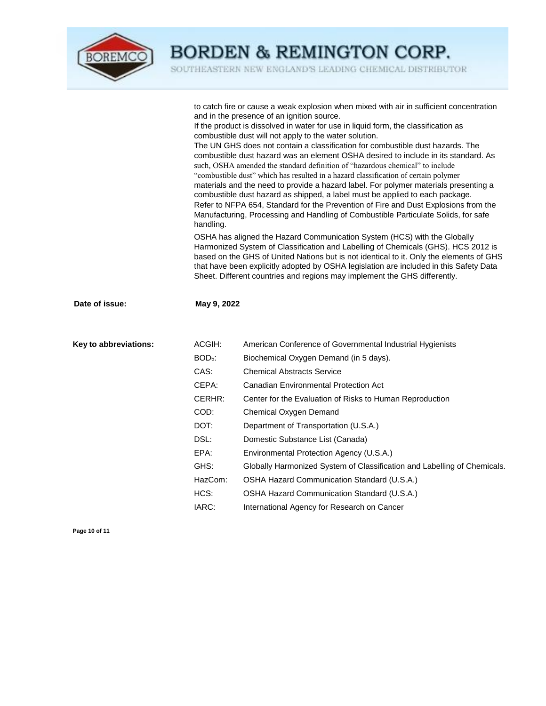

SOUTHEASTERN NEW ENGLAND'S LEADING CHEMICAL DISTRIBUTOR

|                       | handling.          | to catch fire or cause a weak explosion when mixed with air in sufficient concentration<br>and in the presence of an ignition source.<br>If the product is dissolved in water for use in liquid form, the classification as<br>combustible dust will not apply to the water solution.<br>The UN GHS does not contain a classification for combustible dust hazards. The<br>combustible dust hazard was an element OSHA desired to include in its standard. As<br>such, OSHA amended the standard definition of "hazardous chemical" to include<br>"combustible dust" which has resulted in a hazard classification of certain polymer<br>materials and the need to provide a hazard label. For polymer materials presenting a<br>combustible dust hazard as shipped, a label must be applied to each package.<br>Refer to NFPA 654, Standard for the Prevention of Fire and Dust Explosions from the<br>Manufacturing, Processing and Handling of Combustible Particulate Solids, for safe<br>OSHA has aligned the Hazard Communication System (HCS) with the Globally<br>Harmonized System of Classification and Labelling of Chemicals (GHS). HCS 2012 is<br>based on the GHS of United Nations but is not identical to it. Only the elements of GHS<br>that have been explicitly adopted by OSHA legislation are included in this Safety Data |  |  |
|-----------------------|--------------------|--------------------------------------------------------------------------------------------------------------------------------------------------------------------------------------------------------------------------------------------------------------------------------------------------------------------------------------------------------------------------------------------------------------------------------------------------------------------------------------------------------------------------------------------------------------------------------------------------------------------------------------------------------------------------------------------------------------------------------------------------------------------------------------------------------------------------------------------------------------------------------------------------------------------------------------------------------------------------------------------------------------------------------------------------------------------------------------------------------------------------------------------------------------------------------------------------------------------------------------------------------------------------------------------------------------------------------------------------|--|--|
|                       |                    | Sheet. Different countries and regions may implement the GHS differently.                                                                                                                                                                                                                                                                                                                                                                                                                                                                                                                                                                                                                                                                                                                                                                                                                                                                                                                                                                                                                                                                                                                                                                                                                                                                        |  |  |
| Date of issue:        | May 9, 2022        |                                                                                                                                                                                                                                                                                                                                                                                                                                                                                                                                                                                                                                                                                                                                                                                                                                                                                                                                                                                                                                                                                                                                                                                                                                                                                                                                                  |  |  |
| Key to abbreviations: | ACGIH:             | American Conference of Governmental Industrial Hygienists                                                                                                                                                                                                                                                                                                                                                                                                                                                                                                                                                                                                                                                                                                                                                                                                                                                                                                                                                                                                                                                                                                                                                                                                                                                                                        |  |  |
|                       | BOD <sub>5</sub> : | Biochemical Oxygen Demand (in 5 days).                                                                                                                                                                                                                                                                                                                                                                                                                                                                                                                                                                                                                                                                                                                                                                                                                                                                                                                                                                                                                                                                                                                                                                                                                                                                                                           |  |  |
|                       | CAS:               | <b>Chemical Abstracts Service</b>                                                                                                                                                                                                                                                                                                                                                                                                                                                                                                                                                                                                                                                                                                                                                                                                                                                                                                                                                                                                                                                                                                                                                                                                                                                                                                                |  |  |
|                       | CEPA:              | Canadian Environmental Protection Act                                                                                                                                                                                                                                                                                                                                                                                                                                                                                                                                                                                                                                                                                                                                                                                                                                                                                                                                                                                                                                                                                                                                                                                                                                                                                                            |  |  |
|                       | CERHR:             | Center for the Evaluation of Risks to Human Reproduction                                                                                                                                                                                                                                                                                                                                                                                                                                                                                                                                                                                                                                                                                                                                                                                                                                                                                                                                                                                                                                                                                                                                                                                                                                                                                         |  |  |
|                       | COD:               | Chemical Oxygen Demand                                                                                                                                                                                                                                                                                                                                                                                                                                                                                                                                                                                                                                                                                                                                                                                                                                                                                                                                                                                                                                                                                                                                                                                                                                                                                                                           |  |  |
|                       | DOT:               | Department of Transportation (U.S.A.)                                                                                                                                                                                                                                                                                                                                                                                                                                                                                                                                                                                                                                                                                                                                                                                                                                                                                                                                                                                                                                                                                                                                                                                                                                                                                                            |  |  |
|                       | DSL:               | Domestic Substance List (Canada)                                                                                                                                                                                                                                                                                                                                                                                                                                                                                                                                                                                                                                                                                                                                                                                                                                                                                                                                                                                                                                                                                                                                                                                                                                                                                                                 |  |  |
|                       | EPA:               | Environmental Protection Agency (U.S.A.)                                                                                                                                                                                                                                                                                                                                                                                                                                                                                                                                                                                                                                                                                                                                                                                                                                                                                                                                                                                                                                                                                                                                                                                                                                                                                                         |  |  |
|                       | GHS:               | Globally Harmonized System of Classification and Labelling of Chemicals.                                                                                                                                                                                                                                                                                                                                                                                                                                                                                                                                                                                                                                                                                                                                                                                                                                                                                                                                                                                                                                                                                                                                                                                                                                                                         |  |  |
|                       | HazCom:            | OSHA Hazard Communication Standard (U.S.A.)                                                                                                                                                                                                                                                                                                                                                                                                                                                                                                                                                                                                                                                                                                                                                                                                                                                                                                                                                                                                                                                                                                                                                                                                                                                                                                      |  |  |
|                       | HCS:               | OSHA Hazard Communication Standard (U.S.A.)                                                                                                                                                                                                                                                                                                                                                                                                                                                                                                                                                                                                                                                                                                                                                                                                                                                                                                                                                                                                                                                                                                                                                                                                                                                                                                      |  |  |
|                       | IARC:              | International Agency for Research on Cancer                                                                                                                                                                                                                                                                                                                                                                                                                                                                                                                                                                                                                                                                                                                                                                                                                                                                                                                                                                                                                                                                                                                                                                                                                                                                                                      |  |  |

**Page 10 of 11**